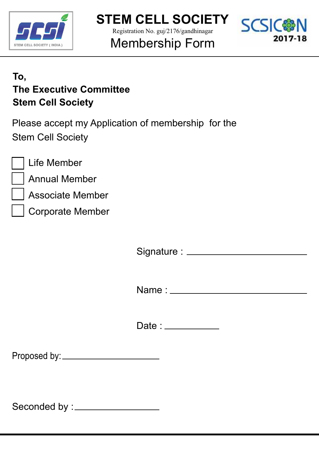

Registration No. guj/2176/gandhinagar



## Membership Form

## **To, The Executive Committee Stem Cell Society**

Please accept my Application of membership for the Stem Cell Society

Annual Member

Associate Member

Corporate Member

Signature :

Name :

Date:

Proposed by:

Seconded by :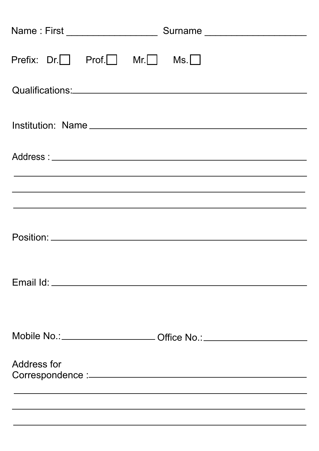|             |  | Prefix: $Dr.$ Prof. Mr. Mr. Ms. |  |                                                                                  |  |                                                                                  |
|-------------|--|---------------------------------|--|----------------------------------------------------------------------------------|--|----------------------------------------------------------------------------------|
|             |  |                                 |  |                                                                                  |  |                                                                                  |
|             |  |                                 |  |                                                                                  |  |                                                                                  |
|             |  |                                 |  |                                                                                  |  |                                                                                  |
|             |  |                                 |  | ,我们也不会有什么。""我们的人,我们也不会有什么?""我们的人,我们也不会有什么?""我们的人,我们也不会有什么?""我们的人,我们也不会有什么?""我们的人 |  | ,我们也不会有什么。""我们的人,我们也不会有什么?""我们的人,我们也不会有什么?""我们的人,我们也不会有什么?""我们的人,我们也不会有什么?""我们的人 |
|             |  |                                 |  | ,我们也不会有什么。""我们的人,我们也不会有什么?""我们的人,我们也不会有什么?""我们的人,我们也不会有什么?""我们的人,我们也不会有什么?""我们的人 |  |                                                                                  |
|             |  |                                 |  |                                                                                  |  |                                                                                  |
|             |  |                                 |  |                                                                                  |  |                                                                                  |
|             |  |                                 |  |                                                                                  |  | Mobile No.: _____________________Office No.: ___________________________________ |
| Address for |  |                                 |  |                                                                                  |  |                                                                                  |
|             |  |                                 |  |                                                                                  |  |                                                                                  |
|             |  |                                 |  |                                                                                  |  |                                                                                  |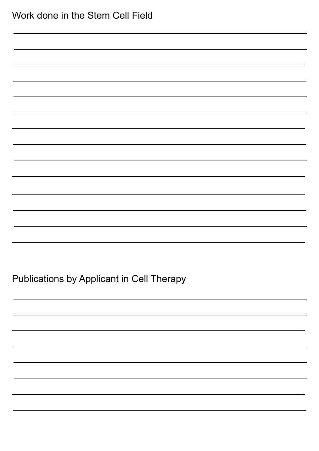| Work done in the Stem Cell Field          |  |  |  |  |
|-------------------------------------------|--|--|--|--|
|                                           |  |  |  |  |
|                                           |  |  |  |  |
|                                           |  |  |  |  |
|                                           |  |  |  |  |
|                                           |  |  |  |  |
|                                           |  |  |  |  |
|                                           |  |  |  |  |
|                                           |  |  |  |  |
|                                           |  |  |  |  |
|                                           |  |  |  |  |
|                                           |  |  |  |  |
|                                           |  |  |  |  |
|                                           |  |  |  |  |
| Publications by Applicant in Cell Therapy |  |  |  |  |
|                                           |  |  |  |  |
|                                           |  |  |  |  |
|                                           |  |  |  |  |
|                                           |  |  |  |  |
|                                           |  |  |  |  |
|                                           |  |  |  |  |
|                                           |  |  |  |  |
|                                           |  |  |  |  |